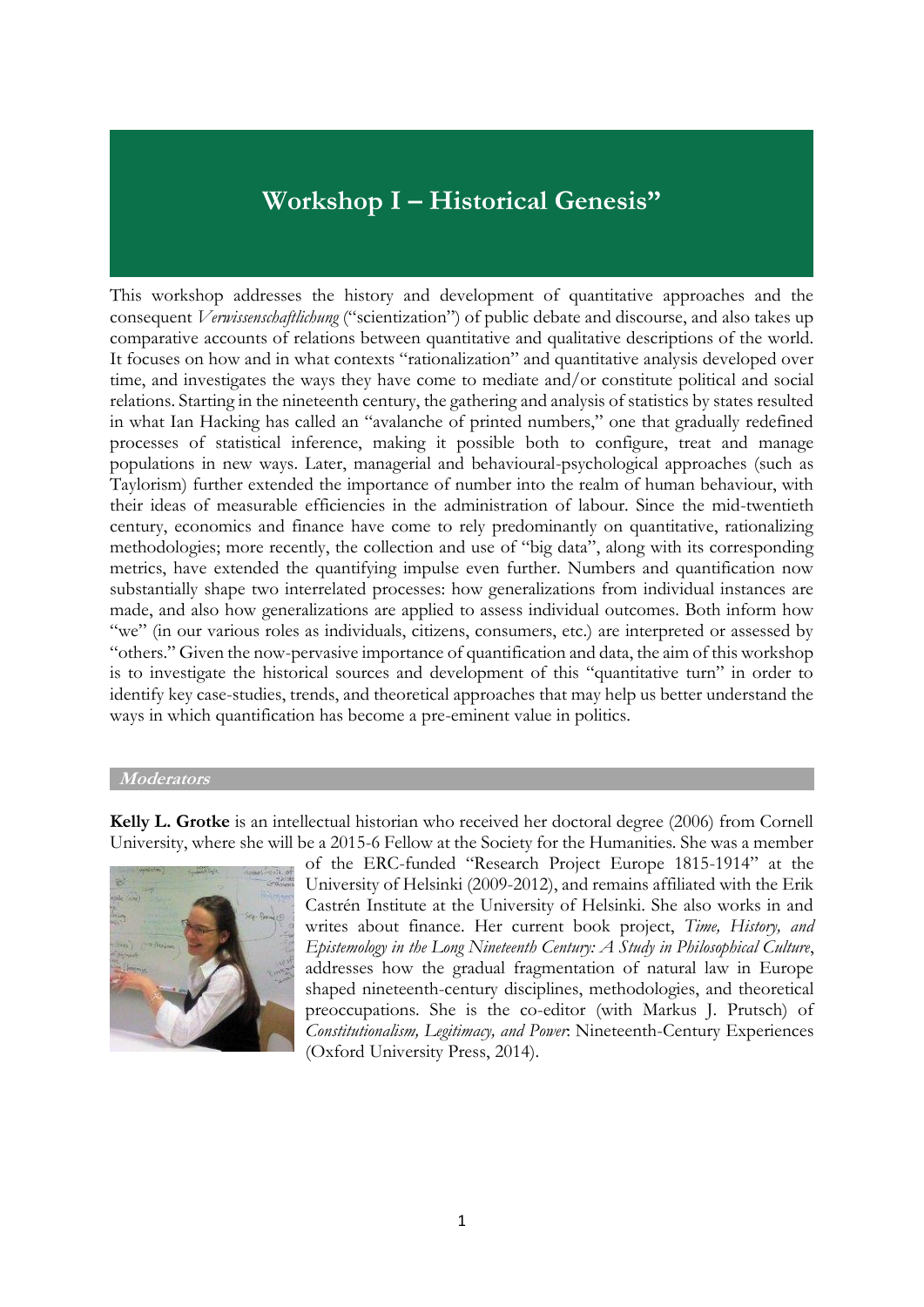# **Workshop I – Historical Genesis"**

This workshop addresses the history and development of quantitative approaches and the consequent *Verwissenschaftlichung* ("scientization") of public debate and discourse, and also takes up comparative accounts of relations between quantitative and qualitative descriptions of the world. It focuses on how and in what contexts "rationalization" and quantitative analysis developed over time, and investigates the ways they have come to mediate and/or constitute political and social relations. Starting in the nineteenth century, the gathering and analysis of statistics by states resulted in what Ian Hacking has called an "avalanche of printed numbers," one that gradually redefined processes of statistical inference, making it possible both to configure, treat and manage populations in new ways. Later, managerial and behavioural-psychological approaches (such as Taylorism) further extended the importance of number into the realm of human behaviour, with their ideas of measurable efficiencies in the administration of labour. Since the mid-twentieth century, economics and finance have come to rely predominantly on quantitative, rationalizing methodologies; more recently, the collection and use of "big data", along with its corresponding metrics, have extended the quantifying impulse even further. Numbers and quantification now substantially shape two interrelated processes: how generalizations from individual instances are made, and also how generalizations are applied to assess individual outcomes. Both inform how "we" (in our various roles as individuals, citizens, consumers, etc.) are interpreted or assessed by "others." Given the now-pervasive importance of quantification and data, the aim of this workshop is to investigate the historical sources and development of this "quantitative turn" in order to identify key case-studies, trends, and theoretical approaches that may help us better understand the ways in which quantification has become a pre-eminent value in politics.

#### **Moderators**

**Kelly L. Grotke** is an intellectual historian who received her doctoral degree (2006) from Cornell University, where she will be a 2015-6 Fellow at the Society for the Humanities. She was a member



of the ERC-funded "Research Project Europe 1815-1914" at the University of Helsinki (2009-2012), and remains affiliated with the Erik Castrén Institute at the University of Helsinki. She also works in and writes about finance. Her current book project, *Time, History, and Epistemology in the Long Nineteenth Century: A Study in Philosophical Culture*, addresses how the gradual fragmentation of natural law in Europe shaped nineteenth-century disciplines, methodologies, and theoretical preoccupations. She is the co-editor (with Markus J. Prutsch) of *Constitutionalism, Legitimacy, and Power*: Nineteenth-Century Experiences (Oxford University Press, 2014).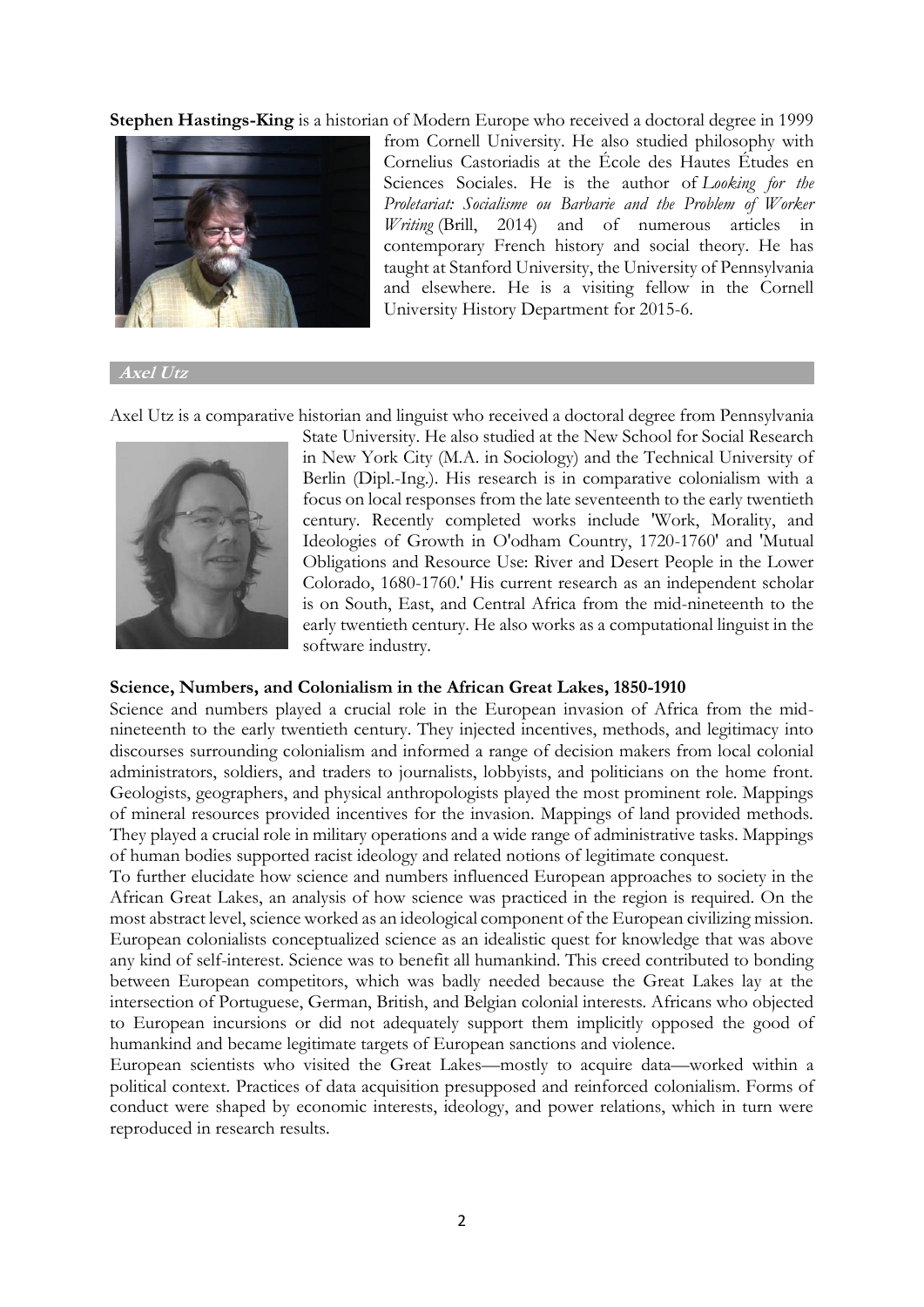**Stephen Hastings-King** is a historian of Modern Europe who received a doctoral degree in 1999



from Cornell University. He also studied philosophy with Cornelius Castoriadis at the École des Hautes Études en Sciences Sociales. He is the author of *Looking for the Proletariat: Socialisme ou Barbarie and the Problem of Worker Writing* (Brill, 2014) and of numerous articles in contemporary French history and social theory. He has taught at Stanford University, the University of Pennsylvania and elsewhere. He is a visiting fellow in the Cornell University History Department for 2015-6.

**Axel Utz**

Axel Utz is a comparative historian and linguist who received a doctoral degree from Pennsylvania



State University. He also studied at the New School for Social Research in New York City (M.A. in Sociology) and the Technical University of Berlin (Dipl.-Ing.). His research is in comparative colonialism with a focus on local responses from the late seventeenth to the early twentieth century. Recently completed works include 'Work, Morality, and Ideologies of Growth in O'odham Country, 1720-1760' and 'Mutual Obligations and Resource Use: River and Desert People in the Lower Colorado, 1680-1760.' His current research as an independent scholar is on South, East, and Central Africa from the mid-nineteenth to the early twentieth century. He also works as a computational linguist in the software industry.

#### **Science, Numbers, and Colonialism in the African Great Lakes, 1850-1910**

Science and numbers played a crucial role in the European invasion of Africa from the midnineteenth to the early twentieth century. They injected incentives, methods, and legitimacy into discourses surrounding colonialism and informed a range of decision makers from local colonial administrators, soldiers, and traders to journalists, lobbyists, and politicians on the home front. Geologists, geographers, and physical anthropologists played the most prominent role. Mappings of mineral resources provided incentives for the invasion. Mappings of land provided methods. They played a crucial role in military operations and a wide range of administrative tasks. Mappings of human bodies supported racist ideology and related notions of legitimate conquest.

To further elucidate how science and numbers influenced European approaches to society in the African Great Lakes, an analysis of how science was practiced in the region is required. On the most abstract level, science worked as an ideological component of the European civilizing mission. European colonialists conceptualized science as an idealistic quest for knowledge that was above any kind of self-interest. Science was to benefit all humankind. This creed contributed to bonding between European competitors, which was badly needed because the Great Lakes lay at the intersection of Portuguese, German, British, and Belgian colonial interests. Africans who objected to European incursions or did not adequately support them implicitly opposed the good of humankind and became legitimate targets of European sanctions and violence.

European scientists who visited the Great Lakes—mostly to acquire data—worked within a political context. Practices of data acquisition presupposed and reinforced colonialism. Forms of conduct were shaped by economic interests, ideology, and power relations, which in turn were reproduced in research results.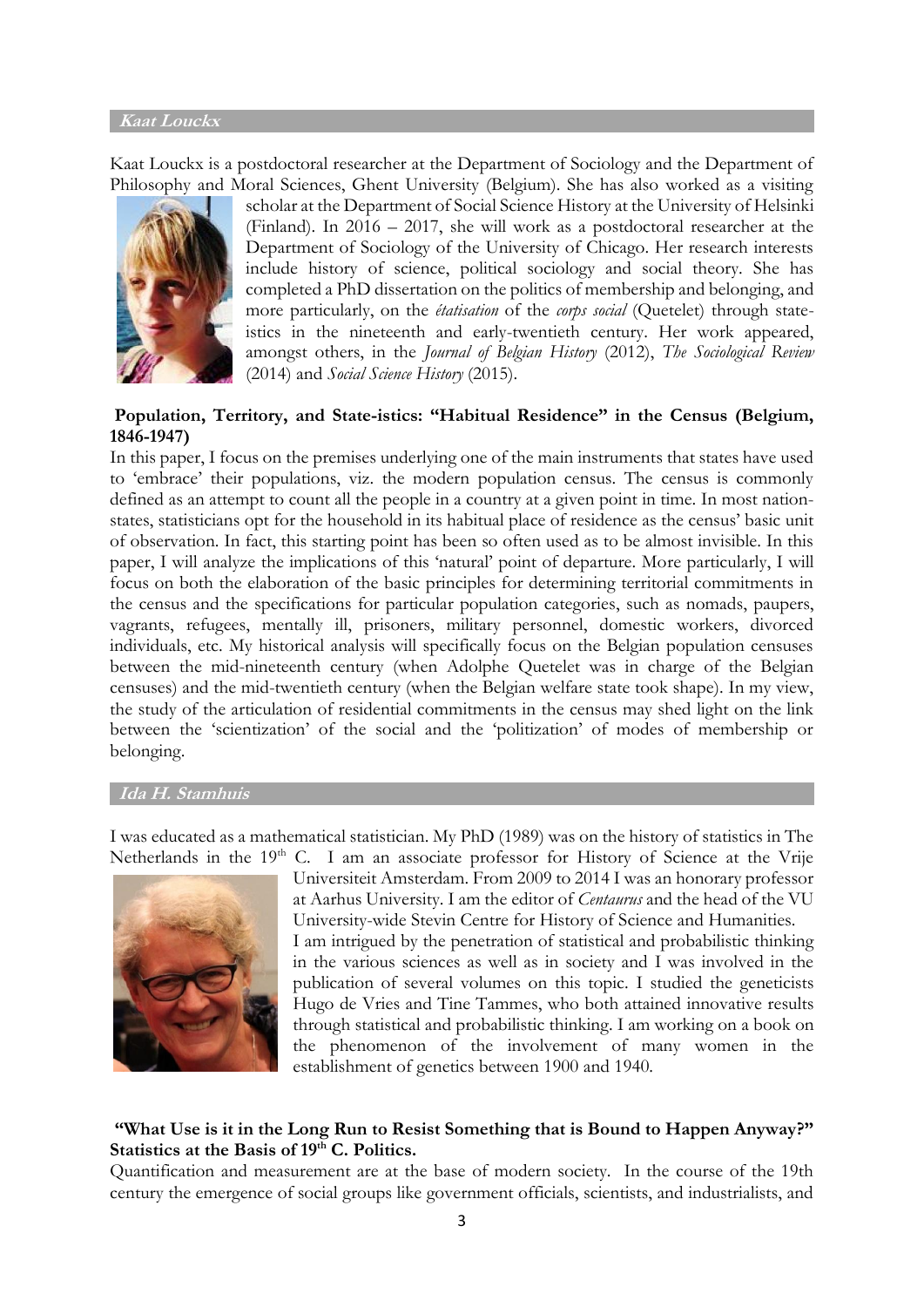### **Kaat Louckx**

Kaat Louckx is a postdoctoral researcher at the Department of Sociology and the Department of Philosophy and Moral Sciences, Ghent University (Belgium). She has also worked as a visiting



scholar at the Department of Social Science History at the University of Helsinki (Finland). In 2016 – 2017, she will work as a postdoctoral researcher at the Department of Sociology of the University of Chicago. Her research interests include history of science, political sociology and social theory. She has completed a PhD dissertation on the politics of membership and belonging, and more particularly, on the *étatisation* of the *corps social* (Quetelet) through stateistics in the nineteenth and early-twentieth century. Her work appeared, amongst others, in the *Journal of Belgian History* (2012), *The Sociological Review* (2014) and *Social Science History* (2015).

## **Population, Territory, and State-istics: "Habitual Residence" in the Census (Belgium, 1846-1947)**

In this paper, I focus on the premises underlying one of the main instruments that states have used to 'embrace' their populations, viz. the modern population census. The census is commonly defined as an attempt to count all the people in a country at a given point in time. In most nationstates, statisticians opt for the household in its habitual place of residence as the census' basic unit of observation. In fact, this starting point has been so often used as to be almost invisible. In this paper, I will analyze the implications of this 'natural' point of departure. More particularly, I will focus on both the elaboration of the basic principles for determining territorial commitments in the census and the specifications for particular population categories, such as nomads, paupers, vagrants, refugees, mentally ill, prisoners, military personnel, domestic workers, divorced individuals, etc. My historical analysis will specifically focus on the Belgian population censuses between the mid-nineteenth century (when Adolphe Quetelet was in charge of the Belgian censuses) and the mid-twentieth century (when the Belgian welfare state took shape). In my view, the study of the articulation of residential commitments in the census may shed light on the link between the 'scientization' of the social and the 'politization' of modes of membership or belonging.

#### **Ida H. Stamhuis**

I was educated as a mathematical statistician. My PhD (1989) was on the history of statistics in The Netherlands in the 19<sup>th</sup> C. I am an associate professor for History of Science at the Vrije



Universiteit Amsterdam. From 2009 to 2014 I was an honorary professor at Aarhus University. I am the editor of *Centaurus* and the head of the VU University-wide Stevin Centre for History of Science and Humanities. I am intrigued by the penetration of statistical and probabilistic thinking in the various sciences as well as in society and I was involved in the publication of several volumes on this topic. I studied the geneticists Hugo de Vries and Tine Tammes, who both attained innovative results through statistical and probabilistic thinking. I am working on a book on the phenomenon of the involvement of many women in the establishment of genetics between 1900 and 1940.

## **"What Use is it in the Long Run to Resist Something that is Bound to Happen Anyway?" Statistics at the Basis of 19th C. Politics.**

Quantification and measurement are at the base of modern society. In the course of the 19th century the emergence of social groups like government officials, scientists, and industrialists, and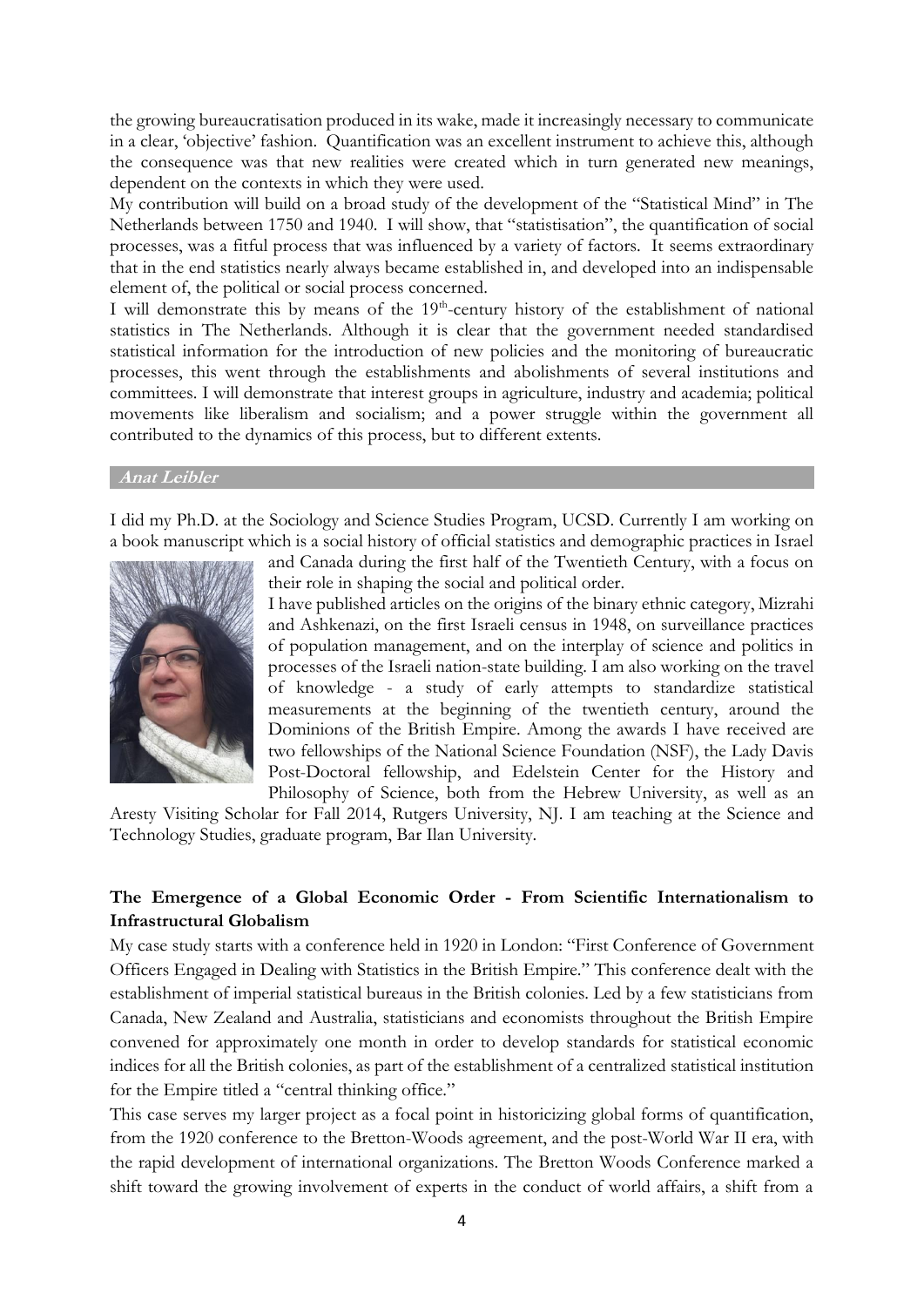the growing bureaucratisation produced in its wake, made it increasingly necessary to communicate in a clear, 'objective' fashion. Quantification was an excellent instrument to achieve this, although the consequence was that new realities were created which in turn generated new meanings, dependent on the contexts in which they were used.

My contribution will build on a broad study of the development of the "Statistical Mind" in The Netherlands between 1750 and 1940. I will show, that "statistisation", the quantification of social processes, was a fitful process that was influenced by a variety of factors. It seems extraordinary that in the end statistics nearly always became established in, and developed into an indispensable element of, the political or social process concerned.

I will demonstrate this by means of the 19<sup>th</sup>-century history of the establishment of national statistics in The Netherlands. Although it is clear that the government needed standardised statistical information for the introduction of new policies and the monitoring of bureaucratic processes, this went through the establishments and abolishments of several institutions and committees. I will demonstrate that interest groups in agriculture, industry and academia; political movements like liberalism and socialism; and a power struggle within the government all contributed to the dynamics of this process, but to different extents.

#### **Anat Leibler**

I did my Ph.D. at the Sociology and Science Studies Program, UCSD. Currently I am working on a book manuscript which is a social history of official statistics and demographic practices in Israel



and Canada during the first half of the Twentieth Century, with a focus on their role in shaping the social and political order.

I have published articles on the origins of the binary ethnic category, Mizrahi and Ashkenazi, on the first Israeli census in 1948, on surveillance practices of population management, and on the interplay of science and politics in processes of the Israeli nation-state building. I am also working on the travel of knowledge - a study of early attempts to standardize statistical measurements at the beginning of the twentieth century, around the Dominions of the British Empire. Among the awards I have received are two fellowships of the National Science Foundation (NSF), the Lady Davis Post-Doctoral fellowship, and Edelstein Center for the History and Philosophy of Science, both from the Hebrew University, as well as an

Aresty Visiting Scholar for Fall 2014, Rutgers University, NJ. I am teaching at the Science and Technology Studies, graduate program, Bar Ilan University.

## **The Emergence of a Global Economic Order - From Scientific Internationalism to Infrastructural Globalism**

My case study starts with a conference held in 1920 in London: "First Conference of Government Officers Engaged in Dealing with Statistics in the British Empire." This conference dealt with the establishment of imperial statistical bureaus in the British colonies. Led by a few statisticians from Canada, New Zealand and Australia, statisticians and economists throughout the British Empire convened for approximately one month in order to develop standards for statistical economic indices for all the British colonies, as part of the establishment of a centralized statistical institution for the Empire titled a "central thinking office."

This case serves my larger project as a focal point in historicizing global forms of quantification, from the 1920 conference to the Bretton-Woods agreement, and the post-World War II era, with the rapid development of international organizations. The Bretton Woods Conference marked a shift toward the growing involvement of experts in the conduct of world affairs, a shift from a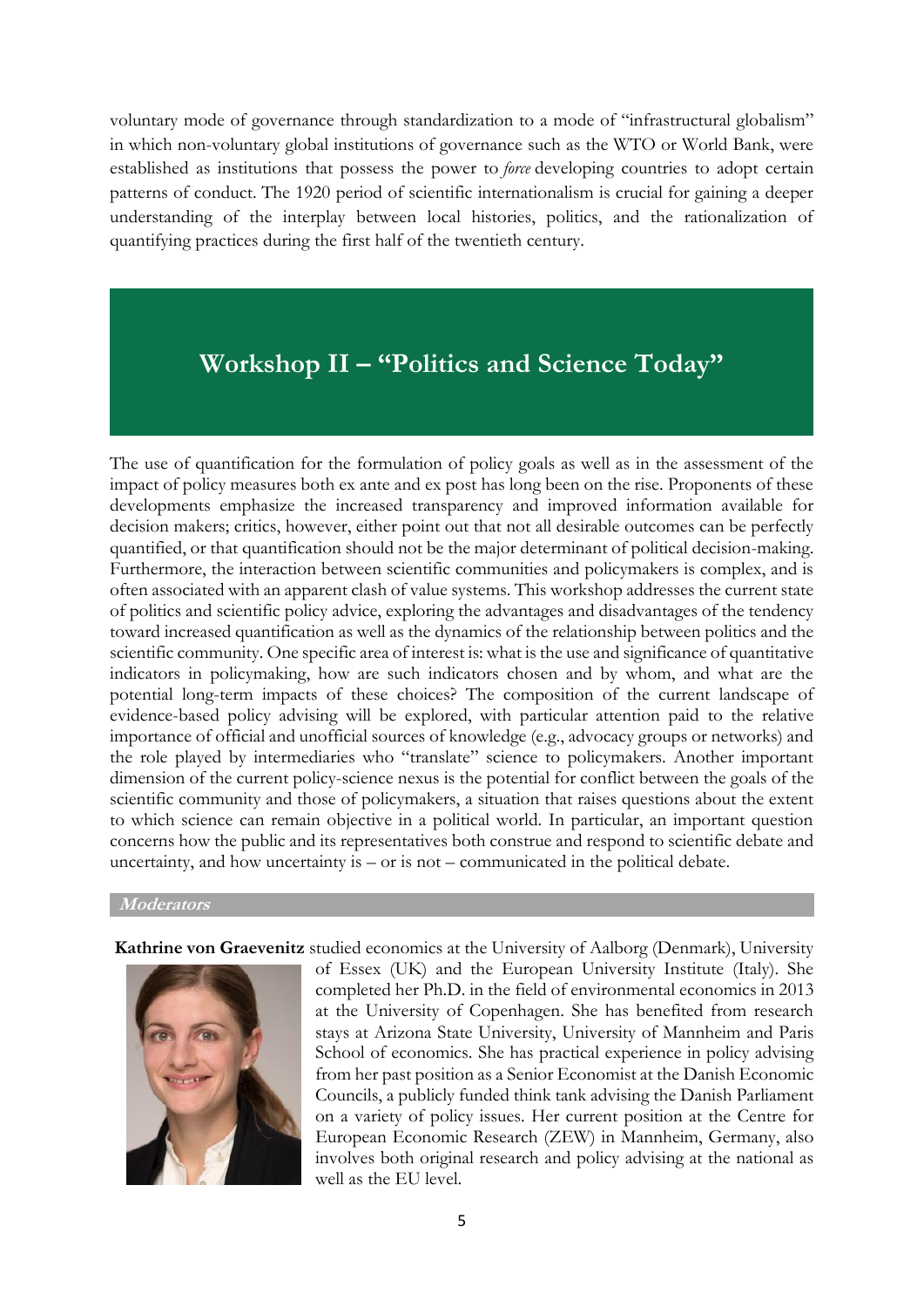voluntary mode of governance through standardization to a mode of "infrastructural globalism" in which non-voluntary global institutions of governance such as the WTO or World Bank, were established as institutions that possess the power to *force* developing countries to adopt certain patterns of conduct. The 1920 period of scientific internationalism is crucial for gaining a deeper understanding of the interplay between local histories, politics, and the rationalization of quantifying practices during the first half of the twentieth century.

# **Workshop II – "Politics and Science Today"**

The use of quantification for the formulation of policy goals as well as in the assessment of the impact of policy measures both ex ante and ex post has long been on the rise. Proponents of these developments emphasize the increased transparency and improved information available for decision makers; critics, however, either point out that not all desirable outcomes can be perfectly quantified, or that quantification should not be the major determinant of political decision-making. Furthermore, the interaction between scientific communities and policymakers is complex, and is often associated with an apparent clash of value systems. This workshop addresses the current state of politics and scientific policy advice, exploring the advantages and disadvantages of the tendency toward increased quantification as well as the dynamics of the relationship between politics and the scientific community. One specific area of interest is: what is the use and significance of quantitative indicators in policymaking, how are such indicators chosen and by whom, and what are the potential long-term impacts of these choices? The composition of the current landscape of evidence-based policy advising will be explored, with particular attention paid to the relative importance of official and unofficial sources of knowledge (e.g., advocacy groups or networks) and the role played by intermediaries who "translate" science to policymakers. Another important dimension of the current policy-science nexus is the potential for conflict between the goals of the scientific community and those of policymakers, a situation that raises questions about the extent to which science can remain objective in a political world. In particular, an important question concerns how the public and its representatives both construe and respond to scientific debate and uncertainty, and how uncertainty is – or is not – communicated in the political debate.

## **Moderators**

**Kathrine von Graevenitz** studied economics at the University of Aalborg (Denmark), University



of Essex (UK) and the European University Institute (Italy). She completed her Ph.D. in the field of environmental economics in 2013 at the University of Copenhagen. She has benefited from research stays at Arizona State University, University of Mannheim and Paris School of economics. She has practical experience in policy advising from her past position as a Senior Economist at the Danish Economic Councils, a publicly funded think tank advising the Danish Parliament on a variety of policy issues. Her current position at the Centre for European Economic Research (ZEW) in Mannheim, Germany, also involves both original research and policy advising at the national as well as the EU level.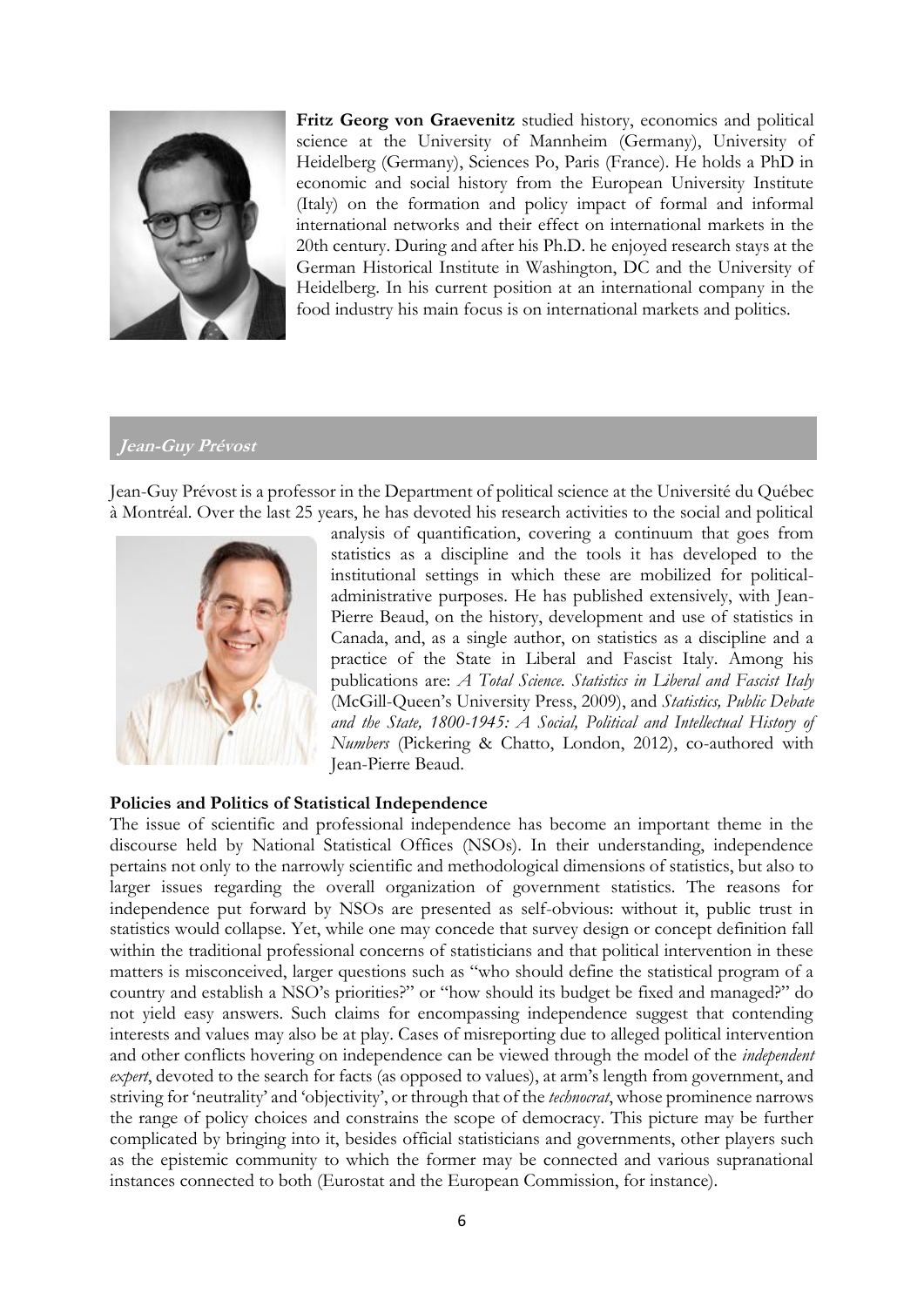

**Fritz Georg von Graevenitz** studied history, economics and political science at the University of Mannheim (Germany), University of Heidelberg (Germany), Sciences Po, Paris (France). He holds a PhD in economic and social history from the European University Institute (Italy) on the formation and policy impact of formal and informal international networks and their effect on international markets in the 20th century. During and after his Ph.D. he enjoyed research stays at the German Historical Institute in Washington, DC and the University of Heidelberg. In his current position at an international company in the food industry his main focus is on international markets and politics.

## **Jean-Guy Prévost**

Jean-Guy Prévost is a professor in the Department of political science at the Université du Québec à Montréal. Over the last 25 years, he has devoted his research activities to the social and political



analysis of quantification, covering a continuum that goes from statistics as a discipline and the tools it has developed to the institutional settings in which these are mobilized for politicaladministrative purposes. He has published extensively, with Jean-Pierre Beaud, on the history, development and use of statistics in Canada, and, as a single author, on statistics as a discipline and a practice of the State in Liberal and Fascist Italy. Among his publications are: *A Total Science. Statistics in Liberal and Fascist Italy* (McGill-Queen's University Press, 2009), and *Statistics, Public Debate and the State, 1800-1945: A Social, Political and Intellectual History of Numbers* (Pickering & Chatto, London, 2012), co-authored with Jean-Pierre Beaud.

## **Policies and Politics of Statistical Independence**

The issue of scientific and professional independence has become an important theme in the discourse held by National Statistical Offices (NSOs). In their understanding, independence pertains not only to the narrowly scientific and methodological dimensions of statistics, but also to larger issues regarding the overall organization of government statistics. The reasons for independence put forward by NSOs are presented as self-obvious: without it, public trust in statistics would collapse. Yet, while one may concede that survey design or concept definition fall within the traditional professional concerns of statisticians and that political intervention in these matters is misconceived, larger questions such as "who should define the statistical program of a country and establish a NSO's priorities?" or "how should its budget be fixed and managed?" do not yield easy answers. Such claims for encompassing independence suggest that contending interests and values may also be at play. Cases of misreporting due to alleged political intervention and other conflicts hovering on independence can be viewed through the model of the *independent expert*, devoted to the search for facts (as opposed to values), at arm's length from government, and striving for 'neutrality' and 'objectivity', or through that of the *technocrat*, whose prominence narrows the range of policy choices and constrains the scope of democracy. This picture may be further complicated by bringing into it, besides official statisticians and governments, other players such as the epistemic community to which the former may be connected and various supranational instances connected to both (Eurostat and the European Commission, for instance).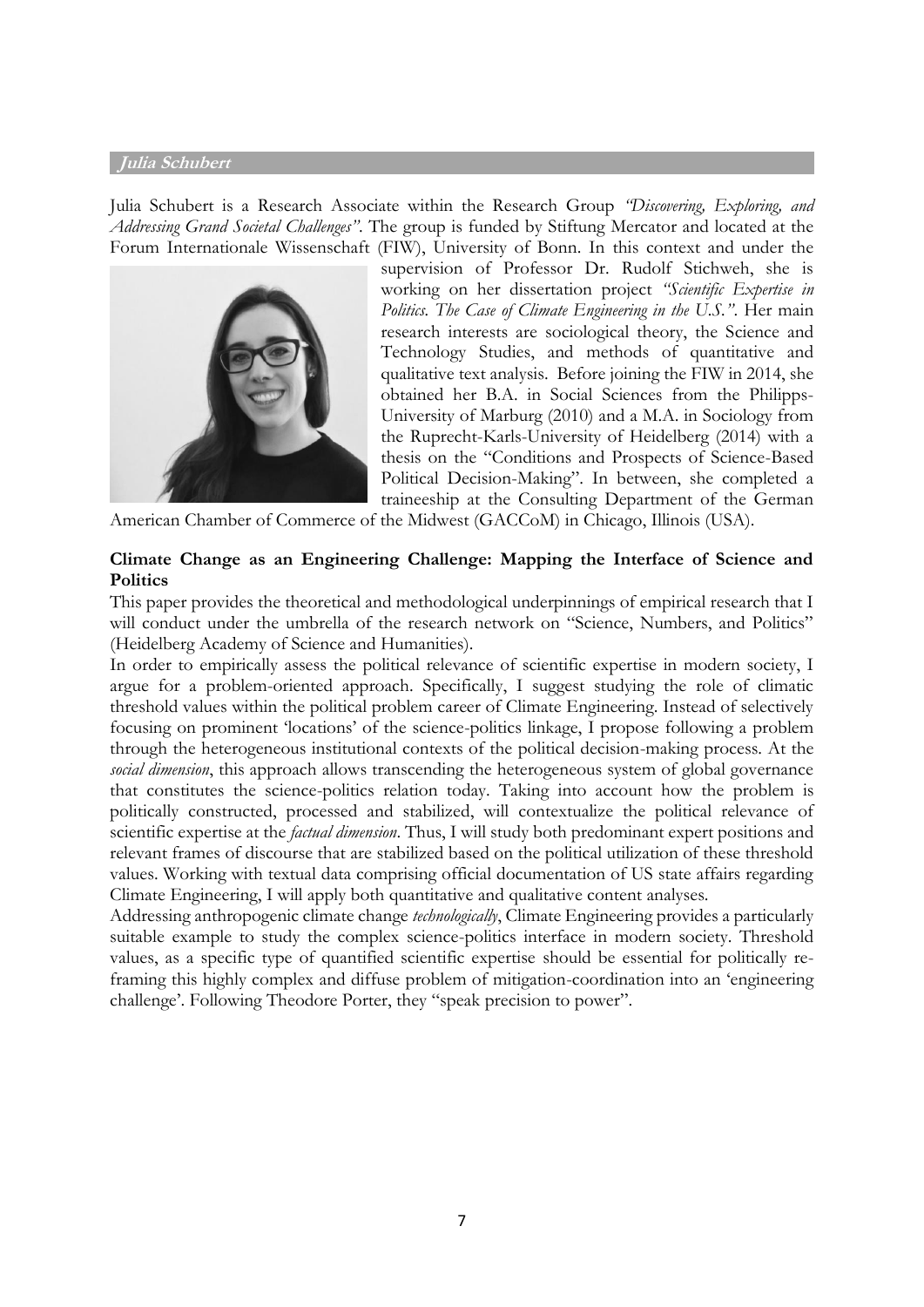#### **Julia Schubert**

Julia Schubert is a Research Associate within the Research Group *"Discovering, Exploring, and Addressing Grand Societal Challenges"*. The group is funded by Stiftung Mercator and located at the Forum Internationale Wissenschaft (FIW), University of Bonn. In this context and under the



supervision of Professor Dr. Rudolf Stichweh, she is working on her dissertation project *"Scientific Expertise in Politics. The Case of Climate Engineering in the U.S."*. Her main research interests are sociological theory, the Science and Technology Studies, and methods of quantitative and qualitative text analysis. Before joining the FIW in 2014, she obtained her B.A. in Social Sciences from the Philipps-University of Marburg (2010) and a M.A. in Sociology from the Ruprecht-Karls-University of Heidelberg (2014) with a thesis on the "Conditions and Prospects of Science-Based Political Decision-Making". In between, she completed a traineeship at the Consulting Department of the German

American Chamber of Commerce of the Midwest (GACCoM) in Chicago, Illinois (USA).

## **Climate Change as an Engineering Challenge: Mapping the Interface of Science and Politics**

This paper provides the theoretical and methodological underpinnings of empirical research that I will conduct under the umbrella of the research network on "Science, Numbers, and Politics" (Heidelberg Academy of Science and Humanities).

In order to empirically assess the political relevance of scientific expertise in modern society, I argue for a problem-oriented approach. Specifically, I suggest studying the role of climatic threshold values within the political problem career of Climate Engineering. Instead of selectively focusing on prominent 'locations' of the science-politics linkage, I propose following a problem through the heterogeneous institutional contexts of the political decision-making process. At the *social dimension*, this approach allows transcending the heterogeneous system of global governance that constitutes the science-politics relation today. Taking into account how the problem is politically constructed, processed and stabilized, will contextualize the political relevance of scientific expertise at the *factual dimension*. Thus, I will study both predominant expert positions and relevant frames of discourse that are stabilized based on the political utilization of these threshold values. Working with textual data comprising official documentation of US state affairs regarding Climate Engineering, I will apply both quantitative and qualitative content analyses.

Addressing anthropogenic climate change *technologically*, Climate Engineering provides a particularly suitable example to study the complex science-politics interface in modern society. Threshold values, as a specific type of quantified scientific expertise should be essential for politically reframing this highly complex and diffuse problem of mitigation-coordination into an 'engineering challenge'. Following Theodore Porter, they "speak precision to power".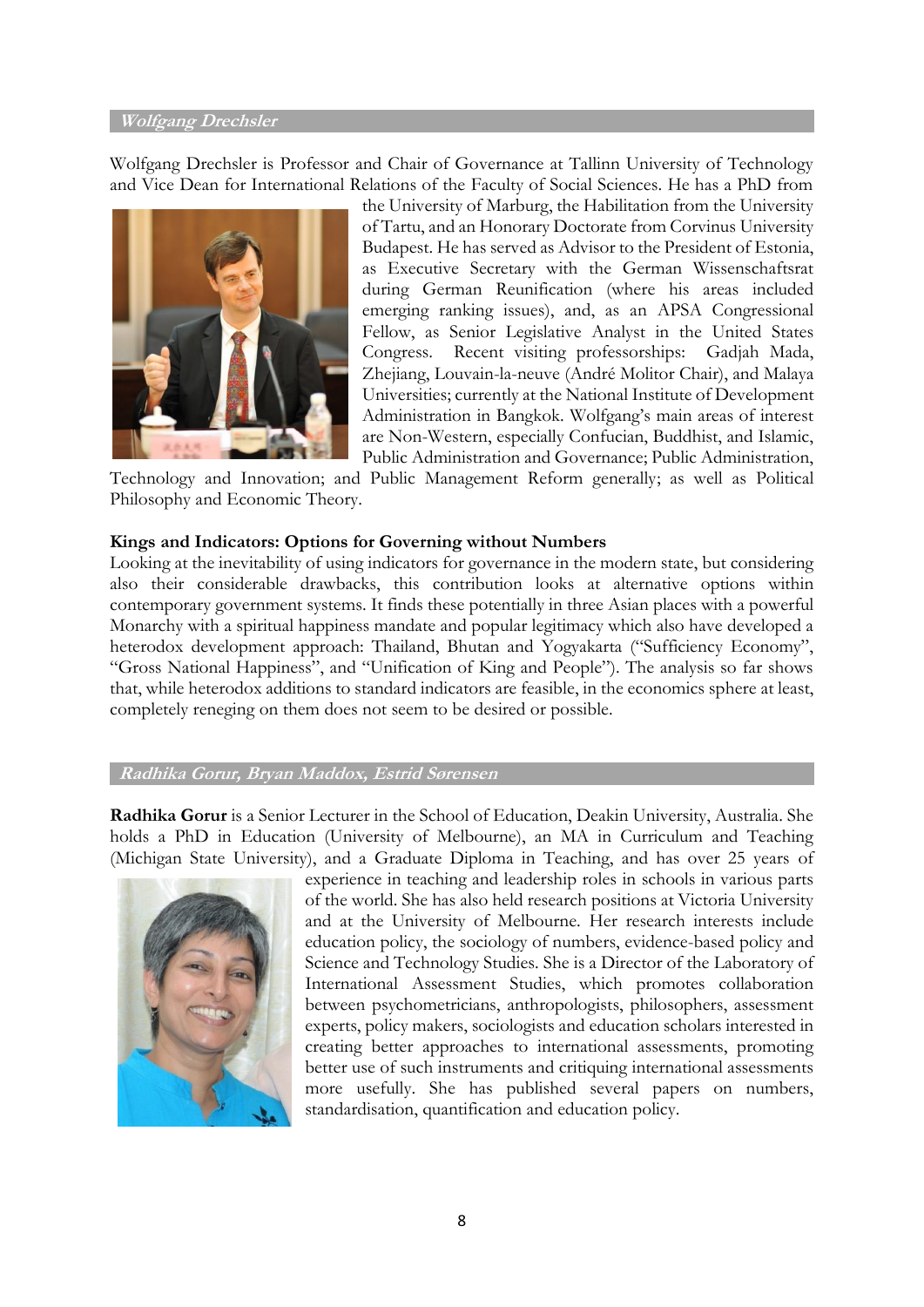#### **Wolfgang Drechsler**

Wolfgang Drechsler is Professor and Chair of Governance at Tallinn University of Technology and Vice Dean for International Relations of the Faculty of Social Sciences. He has a PhD from



the University of Marburg, the Habilitation from the University of Tartu, and an Honorary Doctorate from Corvinus University Budapest. He has served as Advisor to the President of Estonia, as Executive Secretary with the German Wissenschaftsrat during German Reunification (where his areas included emerging ranking issues), and, as an APSA Congressional Fellow, as Senior Legislative Analyst in the United States Congress. Recent visiting professorships: Gadjah Mada, Zhejiang, Louvain-la-neuve (André Molitor Chair), and Malaya Universities; currently at the National Institute of Development Administration in Bangkok. Wolfgang's main areas of interest are Non-Western, especially Confucian, Buddhist, and Islamic, Public Administration and Governance; Public Administration,

Technology and Innovation; and Public Management Reform generally; as well as Political Philosophy and Economic Theory.

#### **Kings and Indicators: Options for Governing without Numbers**

Looking at the inevitability of using indicators for governance in the modern state, but considering also their considerable drawbacks, this contribution looks at alternative options within contemporary government systems. It finds these potentially in three Asian places with a powerful Monarchy with a spiritual happiness mandate and popular legitimacy which also have developed a heterodox development approach: Thailand, Bhutan and Yogyakarta ("Sufficiency Economy", "Gross National Happiness", and "Unification of King and People"). The analysis so far shows that, while heterodox additions to standard indicators are feasible, in the economics sphere at least, completely reneging on them does not seem to be desired or possible.

#### **Radhika Gorur, Bryan Maddox, Estrid Sørensen**

**Radhika Gorur** is a Senior Lecturer in the School of Education, Deakin University, Australia. She holds a PhD in Education (University of Melbourne), an MA in Curriculum and Teaching (Michigan State University), and a Graduate Diploma in Teaching, and has over 25 years of



experience in teaching and leadership roles in schools in various parts of the world. She has also held research positions at Victoria University and at the University of Melbourne. Her research interests include education policy, the sociology of numbers, evidence-based policy and Science and Technology Studies. She is a Director of the [Laboratory of](http://international-assessments.org/)  [International Assessment Studies,](http://international-assessments.org/) which promotes collaboration between psychometricians, anthropologists, philosophers, assessment experts, policy makers, sociologists and education scholars interested in creating better approaches to international assessments, promoting better use of such instruments and critiquing international assessments more usefully. She has published several papers on numbers, standardisation, quantification and education policy.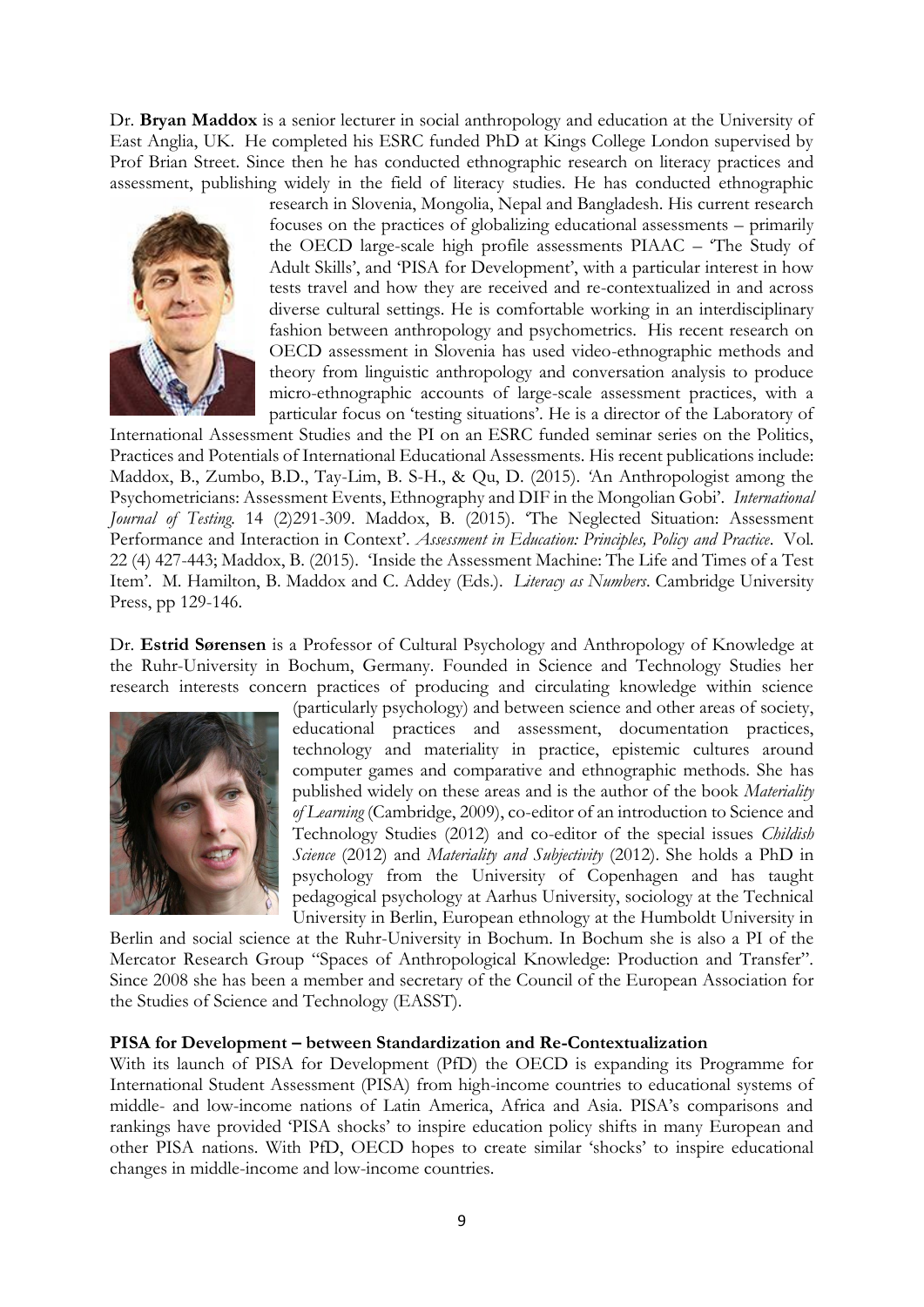Dr. **Bryan Maddox** is a senior lecturer in social anthropology and education at the University of East Anglia, UK. He completed his ESRC funded PhD at Kings College London supervised by Prof Brian Street. Since then he has conducted ethnographic research on literacy practices and assessment, publishing widely in the field of literacy studies. He has conducted ethnographic



research in Slovenia, Mongolia, Nepal and Bangladesh. His current research focuses on the practices of globalizing educational assessments – primarily the OECD large-scale high profile assessments PIAAC – 'The Study of Adult Skills', and 'PISA for Development', with a particular interest in how tests travel and how they are received and re-contextualized in and across diverse cultural settings. He is comfortable working in an interdisciplinary fashion between anthropology and psychometrics. His recent research on OECD assessment in Slovenia has used video-ethnographic methods and theory from linguistic anthropology and conversation analysis to produce micro-ethnographic accounts of large-scale assessment practices, with a particular focus on 'testing situations'. He is a director of the Laboratory of

International Assessment Studies and the PI on an ESRC funded seminar series on the Politics, Practices and Potentials of International Educational Assessments. His recent publications include: Maddox, B., Zumbo, B.D., Tay-Lim, B. S-H., & Qu, D. (2015). *'*An Anthropologist among the Psychometricians: Assessment Events, Ethnography and DIF in the Mongolian Gobi'. *International Journal of Testing.* 14 (2)291-309. Maddox, B. (2015). 'The Neglected Situation: Assessment Performance and Interaction in Context'. *Assessment in Education: Principles, Policy and Practice*. Vol. 22 (4) 427-443; Maddox, B. (2015). 'Inside the Assessment Machine: The Life and Times of a Test Item'. M. Hamilton, B. Maddox and C. Addey (Eds.). *Literacy as Numbers*. Cambridge University Press, pp 129-146.

Dr. **Estrid Sørensen** is a Professor of Cultural Psychology and Anthropology of Knowledge at the Ruhr-University in Bochum, Germany. Founded in Science and Technology Studies her research interests concern practices of producing and circulating knowledge within science



(particularly psychology) and between science and other areas of society, educational practices and assessment, documentation practices, technology and materiality in practice, epistemic cultures around computer games and comparative and ethnographic methods. She has published widely on these areas and is the author of the book *Materiality of Learning* (Cambridge, 2009), co-editor of an introduction to Science and Technology Studies (2012) and co-editor of the special issues *Childish Science* (2012) and *Materiality and Subjectivity* (2012). She holds a PhD in psychology from the University of Copenhagen and has taught pedagogical psychology at Aarhus University, sociology at the Technical University in Berlin, European ethnology at the Humboldt University in

Berlin and social science at the Ruhr-University in Bochum. In Bochum she is also a PI of the Mercator Research Group "Spaces of Anthropological Knowledge: Production and Transfer". Since 2008 she has been a member and secretary of the Council of the European Association for the Studies of Science and Technology (EASST).

### **PISA for Development – between Standardization and Re-Contextualization**

With its launch of PISA for Development (PfD) the OECD is expanding its Programme for International Student Assessment (PISA) from high-income countries to educational systems of middle- and low-income nations of Latin America, Africa and Asia. PISA's comparisons and rankings have provided 'PISA shocks' to inspire education policy shifts in many European and other PISA nations. With PfD, OECD hopes to create similar 'shocks' to inspire educational changes in middle-income and low-income countries.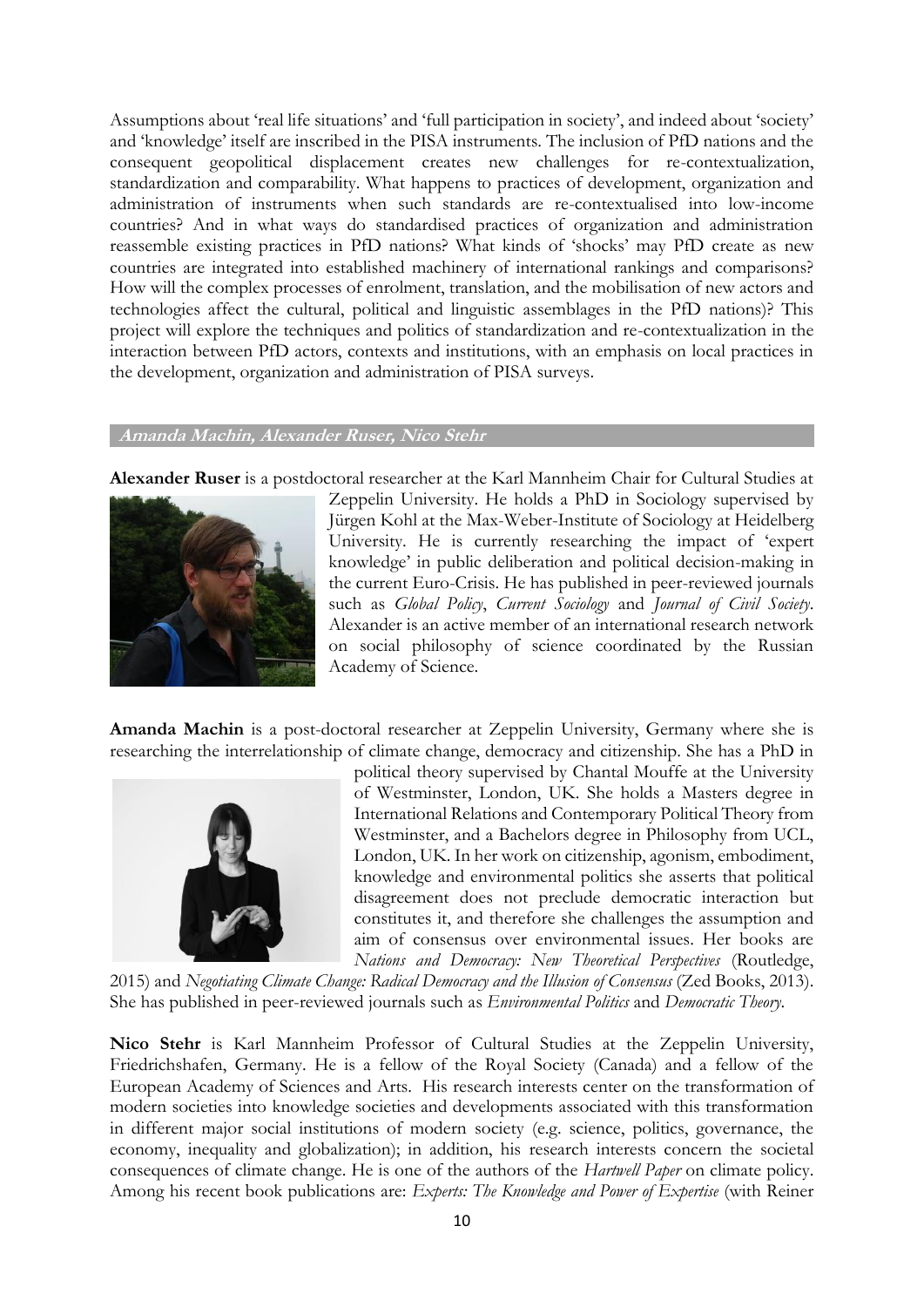Assumptions about 'real life situations' and 'full participation in society', and indeed about 'society' and 'knowledge' itself are inscribed in the PISA instruments. The inclusion of PfD nations and the consequent geopolitical displacement creates new challenges for re-contextualization, standardization and comparability. What happens to practices of development, organization and administration of instruments when such standards are re-contextualised into low-income countries? And in what ways do standardised practices of organization and administration reassemble existing practices in PfD nations? What kinds of 'shocks' may PfD create as new countries are integrated into established machinery of international rankings and comparisons? How will the complex processes of enrolment, translation, and the mobilisation of new actors and technologies affect the cultural, political and linguistic assemblages in the PfD nations)? This project will explore the techniques and politics of standardization and re-contextualization in the interaction between PfD actors, contexts and institutions, with an emphasis on local practices in the development, organization and administration of PISA surveys.

#### **Amanda Machin, Alexander Ruser, Nico Stehr**

**Alexander Ruser** is a postdoctoral researcher at the Karl Mannheim Chair for Cultural Studies at



Zeppelin University. He holds a PhD in Sociology supervised by Jürgen Kohl at the Max-Weber-Institute of Sociology at Heidelberg University. He is currently researching the impact of 'expert knowledge' in public deliberation and political decision-making in the current Euro-Crisis. He has published in peer-reviewed journals such as *Global Policy*, *Current Sociology* and *Journal of Civil Society*. Alexander is an active member of an international research network on social philosophy of science coordinated by the Russian Academy of Science.

**Amanda Machin** is a post-doctoral researcher at Zeppelin University, Germany where she is researching the interrelationship of climate change, democracy and citizenship. She has a PhD in



political theory supervised by Chantal Mouffe at the University of Westminster, London, UK. She holds a Masters degree in International Relations and Contemporary Political Theory from Westminster, and a Bachelors degree in Philosophy from UCL, London, UK. In her work on citizenship, agonism, embodiment, knowledge and environmental politics she asserts that political disagreement does not preclude democratic interaction but constitutes it, and therefore she challenges the assumption and aim of consensus over environmental issues. Her books are *Nations and Democracy: New Theoretical Perspectives* (Routledge,

2015) and *Negotiating Climate Change: Radical Democracy and the Illusion of Consensus* (Zed Books, 2013). She has published in peer-reviewed journals such as *Environmental Politics* and *Democratic Theory*.

**Nico Stehr** is Karl Mannheim Professor of Cultural Studies at the Zeppelin University, Friedrichshafen, Germany. He is a fellow of the Royal Society (Canada) and a fellow of the European Academy of Sciences and Arts. His research interests center on the transformation of modern societies into knowledge societies and developments associated with this transformation in different major social institutions of modern society (e.g. science, politics, governance, the economy, inequality and globalization); in addition, his research interests concern the societal consequences of climate change. He is one of the authors of the *Hartwell Paper* on climate policy. Among his recent book publications are: *Experts: The Knowledge and Power of Expertise* (with Reiner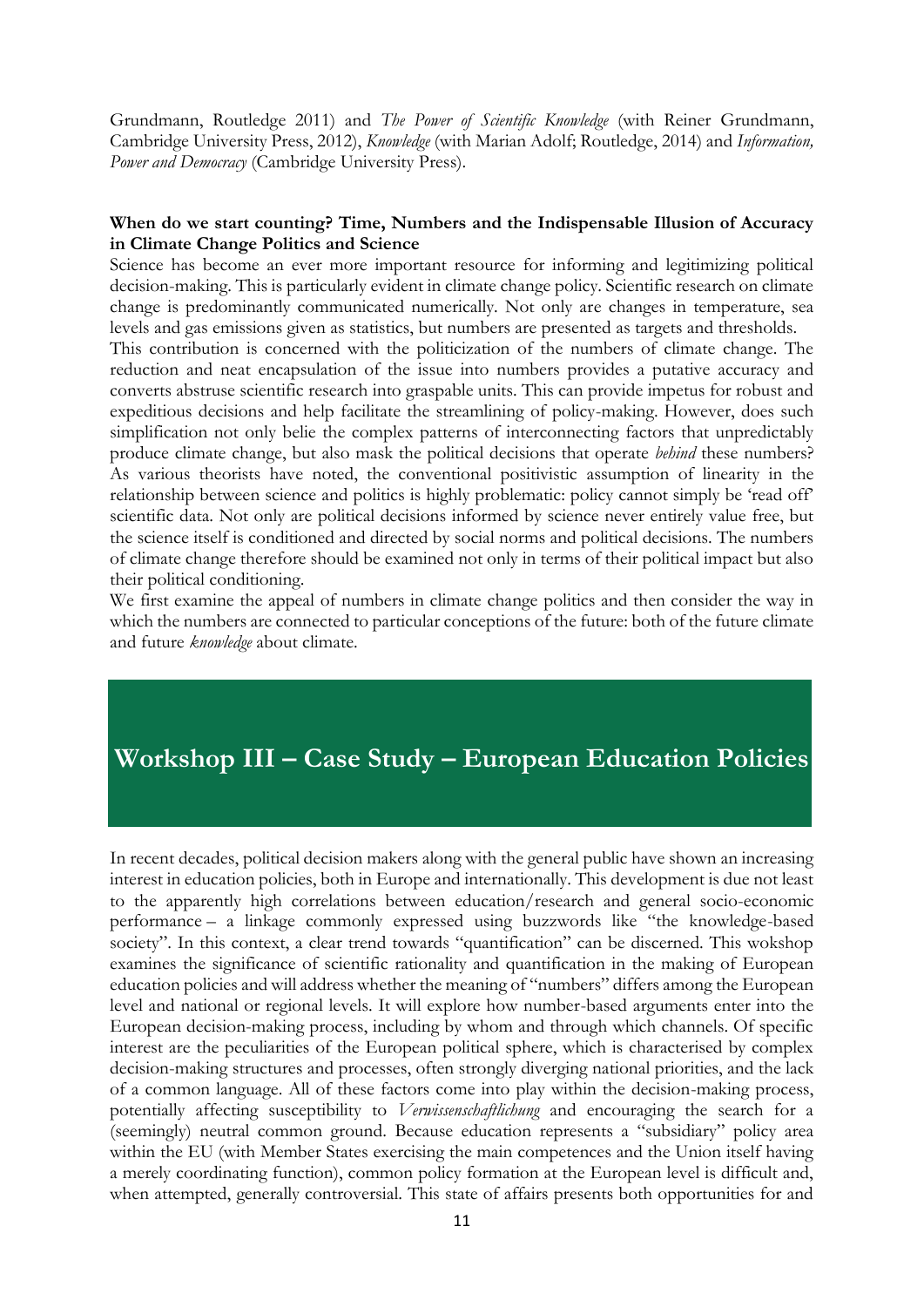Grundmann, Routledge 2011) and *The Power of Scientific Knowledge* (with Reiner Grundmann, Cambridge University Press, 2012), *Knowledge* (with Marian Adolf; Routledge, 2014) and *Information, Power and Democracy* (Cambridge University Press).

### **When do we start counting? Time, Numbers and the Indispensable Illusion of Accuracy in Climate Change Politics and Science**

Science has become an ever more important resource for informing and legitimizing political decision-making. This is particularly evident in climate change policy. Scientific research on climate change is predominantly communicated numerically. Not only are changes in temperature, sea levels and gas emissions given as statistics, but numbers are presented as targets and thresholds.

This contribution is concerned with the politicization of the numbers of climate change. The reduction and neat encapsulation of the issue into numbers provides a putative accuracy and converts abstruse scientific research into graspable units. This can provide impetus for robust and expeditious decisions and help facilitate the streamlining of policy-making. However, does such simplification not only belie the complex patterns of interconnecting factors that unpredictably produce climate change, but also mask the political decisions that operate *behind* these numbers? As various theorists have noted, the conventional positivistic assumption of linearity in the relationship between science and politics is highly problematic: policy cannot simply be 'read off' scientific data. Not only are political decisions informed by science never entirely value free, but the science itself is conditioned and directed by social norms and political decisions. The numbers of climate change therefore should be examined not only in terms of their political impact but also their political conditioning.

We first examine the appeal of numbers in climate change politics and then consider the way in which the numbers are connected to particular conceptions of the future: both of the future climate and future *knowledge* about climate.

## **Workshop III – Case Study – European Education Policies**

In recent decades, political decision makers along with the general public have shown an increasing interest in education policies, both in Europe and internationally. This development is due not least to the apparently high correlations between education/research and general socio-economic performance – a linkage commonly expressed using buzzwords like "the knowledge-based society". In this context, a clear trend towards "quantification" can be discerned. This wokshop examines the significance of scientific rationality and quantification in the making of European education policies and will address whether the meaning of "numbers" differs among the European level and national or regional levels. It will explore how number-based arguments enter into the European decision-making process, including by whom and through which channels. Of specific interest are the peculiarities of the European political sphere, which is characterised by complex decision-making structures and processes, often strongly diverging national priorities, and the lack of a common language. All of these factors come into play within the decision-making process, potentially affecting susceptibility to *Verwissenschaftlichung* and encouraging the search for a (seemingly) neutral common ground. Because education represents a "subsidiary" policy area within the EU (with Member States exercising the main competences and the Union itself having a merely coordinating function), common policy formation at the European level is difficult and, when attempted, generally controversial. This state of affairs presents both opportunities for and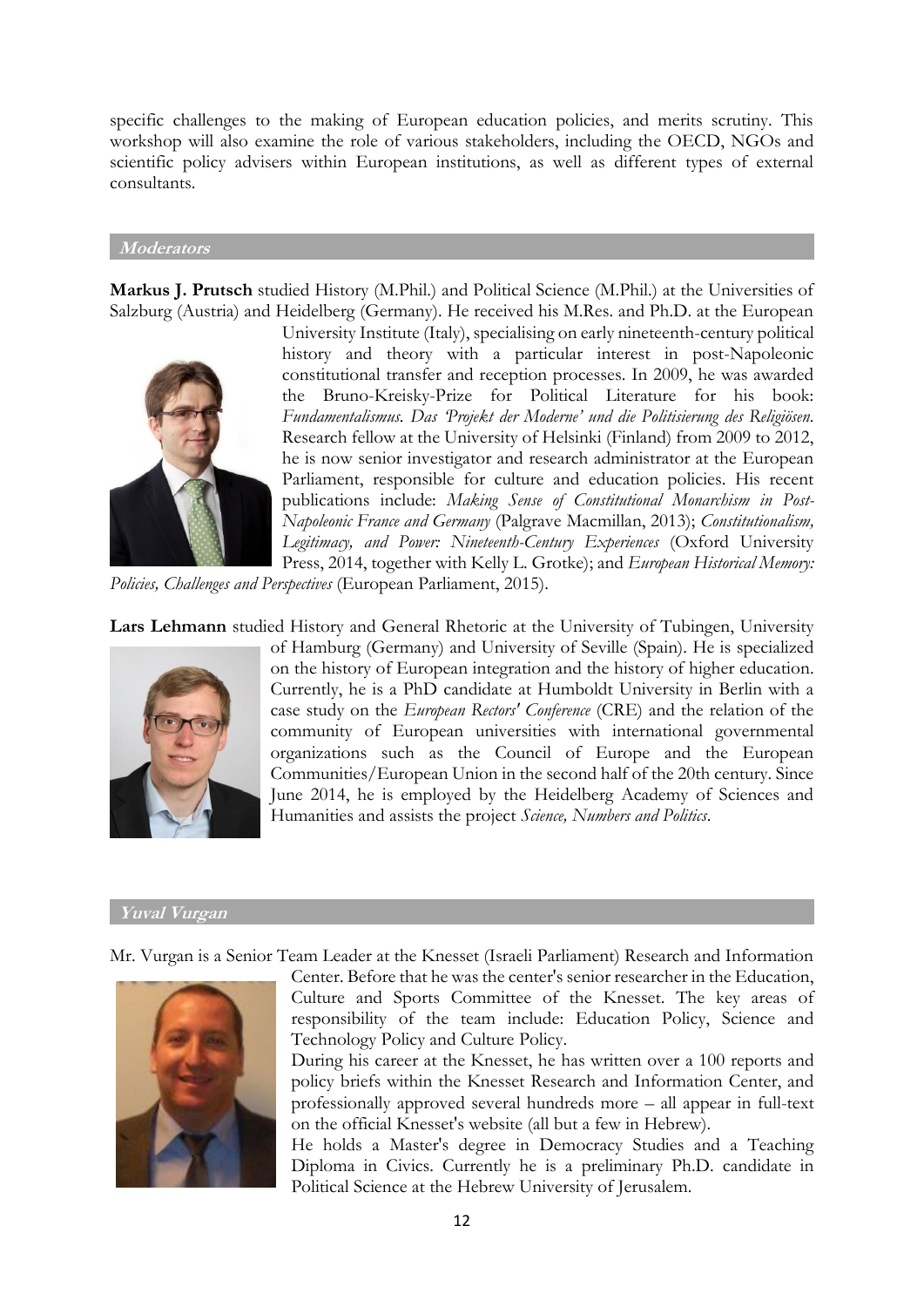specific challenges to the making of European education policies, and merits scrutiny. This workshop will also examine the role of various stakeholders, including the OECD, NGOs and scientific policy advisers within European institutions, as well as different types of external consultants.

#### **Moderators**

**Markus J. Prutsch** studied History (M.Phil.) and Political Science (M.Phil.) at the Universities of Salzburg (Austria) and Heidelberg (Germany). He received his M.Res. and Ph.D. at the European



University Institute (Italy), specialising on early nineteenth-century political history and theory with a particular interest in post-Napoleonic constitutional transfer and reception processes. In 2009, he was awarded the Bruno-Kreisky-Prize for Political Literature for his book: *Fundamentalismus. Das 'Projekt der Moderne' und die Politisierung des Religiösen.* Research fellow at the University of Helsinki (Finland) from 2009 to 2012, he is now senior investigator and research administrator at the European Parliament, responsible for culture and education policies. His recent publications include: *Making Sense of Constitutional Monarchism in Post-Napoleonic France and Germany* (Palgrave Macmillan, 2013); *Constitutionalism, Legitimacy, and Power: Nineteenth-Century Experiences* (Oxford University Press, 2014, together with Kelly L. Grotke); and *European Historical Memory:* 

*Policies, Challenges and Perspectives* (European Parliament, 2015).

**Lars Lehmann** studied History and General Rhetoric at the University of Tubingen, University



of Hamburg (Germany) and University of Seville (Spain). He is specialized on the history of European integration and the history of higher education. Currently, he is a PhD candidate at Humboldt University in Berlin with a case study on the *European Rectors' Conference* (CRE) and the relation of the community of European universities with international governmental organizations such as the Council of Europe and the European Communities/European Union in the second half of the 20th century. Since June 2014, he is employed by the Heidelberg Academy of Sciences and Humanities and assists the project *Science, Numbers and Politics*.

#### **Yuval Vurgan**

Mr. Vurgan is a Senior Team Leader at the Knesset (Israeli Parliament) Research and Information



Center. Before that he was the center's senior researcher in the Education, Culture and Sports Committee of the Knesset. The key areas of responsibility of the team include: Education Policy, Science and Technology Policy and Culture Policy.

During his career at the Knesset, he has written over a 100 reports and policy briefs within the Knesset Research and Information Center, and professionally approved several hundreds more – all appear in full-text on the official Knesset's website (all but a few in Hebrew).

He holds a Master's degree in Democracy Studies and a Teaching Diploma in Civics. Currently he is a preliminary Ph.D. candidate in Political Science at the Hebrew University of Jerusalem.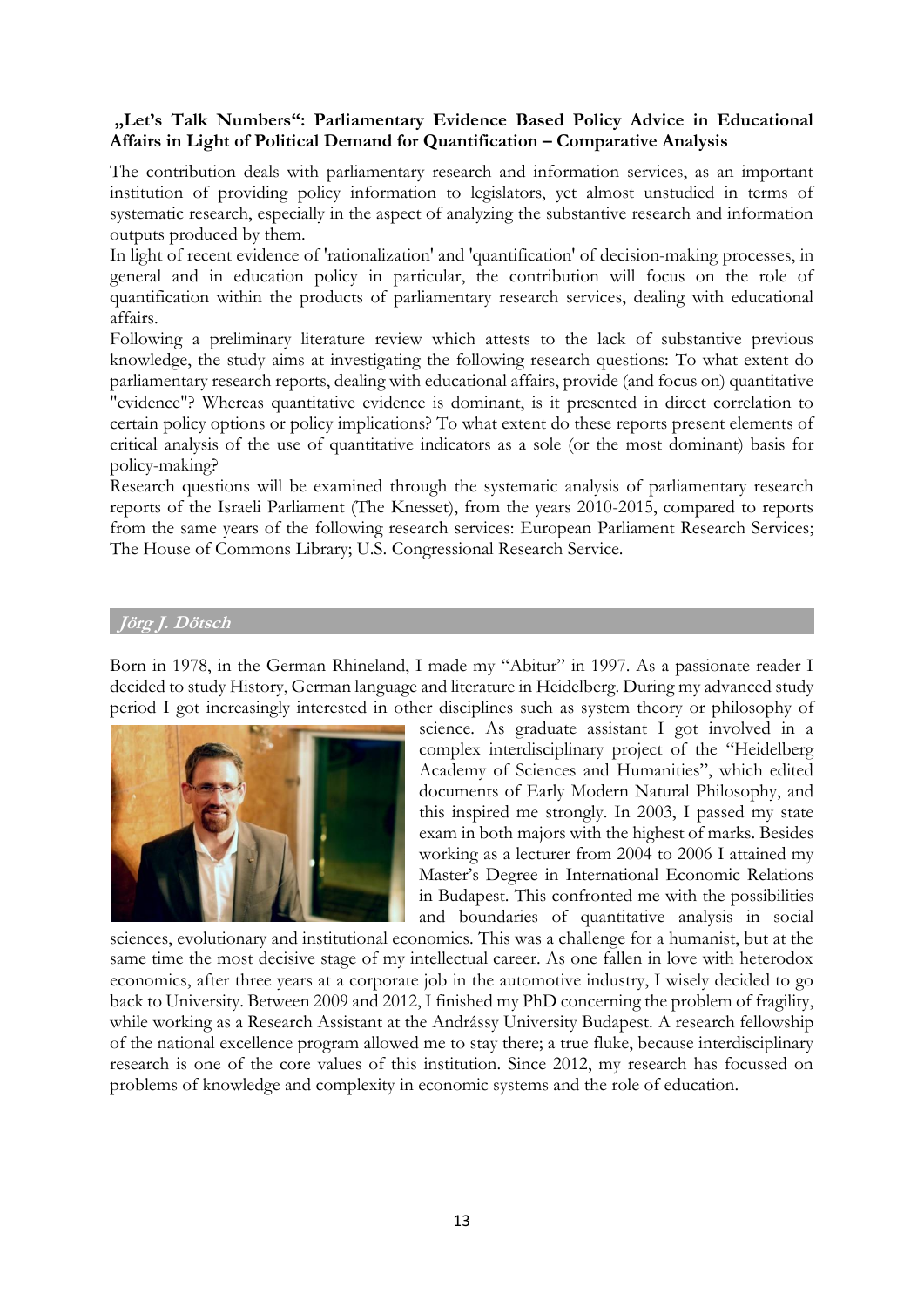## **"Let's Talk Numbers": Parliamentary Evidence Based Policy Advice in Educational Affairs in Light of Political Demand for Quantification – Comparative Analysis**

The contribution deals with parliamentary research and information services, as an important institution of providing policy information to legislators, yet almost unstudied in terms of systematic research, especially in the aspect of analyzing the substantive research and information outputs produced by them.

In light of recent evidence of 'rationalization' and 'quantification' of decision-making processes, in general and in education policy in particular, the contribution will focus on the role of quantification within the products of parliamentary research services, dealing with educational affairs.

Following a preliminary literature review which attests to the lack of substantive previous knowledge, the study aims at investigating the following research questions: To what extent do parliamentary research reports, dealing with educational affairs, provide (and focus on) quantitative "evidence"? Whereas quantitative evidence is dominant, is it presented in direct correlation to certain policy options or policy implications? To what extent do these reports present elements of critical analysis of the use of quantitative indicators as a sole (or the most dominant) basis for policy-making?

Research questions will be examined through the systematic analysis of parliamentary research reports of the Israeli Parliament (The Knesset), from the years 2010-2015, compared to reports from the same years of the following research services: European Parliament Research Services; The House of Commons Library; U.S. Congressional Research Service.

## **Jörg J. Dötsch**

Born in 1978, in the German Rhineland, I made my "Abitur" in 1997. As a passionate reader I decided to study History, German language and literature in Heidelberg. During my advanced study period I got increasingly interested in other disciplines such as system theory or philosophy of



science. As graduate assistant I got involved in a complex interdisciplinary project of the "Heidelberg Academy of Sciences and Humanities", which edited documents of Early Modern Natural Philosophy, and this inspired me strongly. In 2003, I passed my state exam in both majors with the highest of marks. Besides working as a lecturer from 2004 to 2006 I attained my Master's Degree in International Economic Relations in Budapest. This confronted me with the possibilities and boundaries of quantitative analysis in social

sciences, evolutionary and institutional economics. This was a challenge for a humanist, but at the same time the most decisive stage of my intellectual career. As one fallen in love with heterodox economics, after three years at a corporate job in the automotive industry, I wisely decided to go back to University. Between 2009 and 2012, I finished my PhD concerning the problem of fragility, while working as a Research Assistant at the Andrássy University Budapest. A research fellowship of the national excellence program allowed me to stay there; a true fluke, because interdisciplinary research is one of the core values of this institution. Since 2012, my research has focussed on problems of knowledge and complexity in economic systems and the role of education.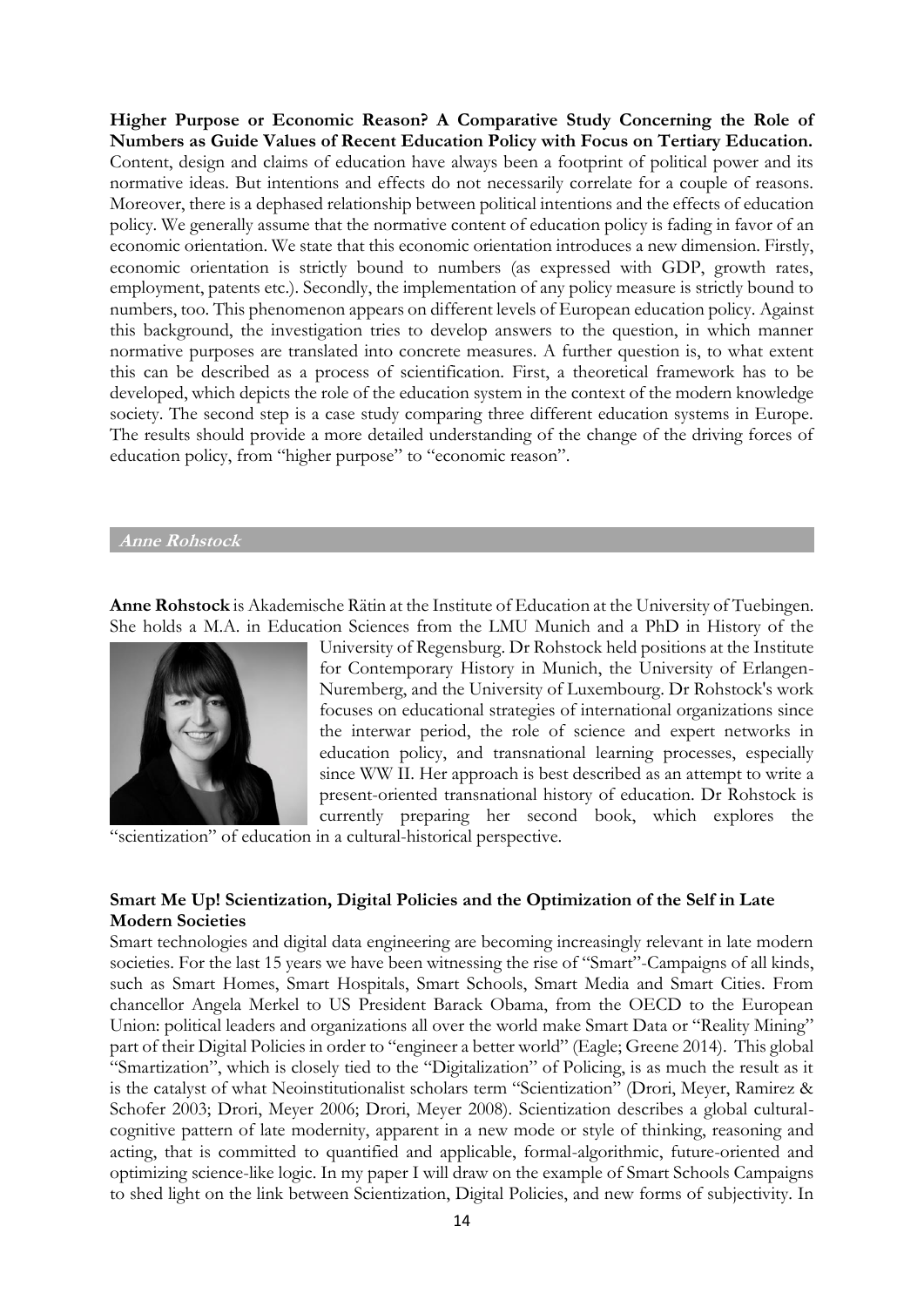**Higher Purpose or Economic Reason? A Comparative Study Concerning the Role of Numbers as Guide Values of Recent Education Policy with Focus on Tertiary Education.** Content, design and claims of education have always been a footprint of political power and its normative ideas. But intentions and effects do not necessarily correlate for a couple of reasons. Moreover, there is a dephased relationship between political intentions and the effects of education policy. We generally assume that the normative content of education policy is fading in favor of an economic orientation. We state that this economic orientation introduces a new dimension. Firstly, economic orientation is strictly bound to numbers (as expressed with GDP, growth rates, employment, patents etc.). Secondly, the implementation of any policy measure is strictly bound to numbers, too. This phenomenon appears on different levels of European education policy. Against this background, the investigation tries to develop answers to the question, in which manner normative purposes are translated into concrete measures. A further question is, to what extent this can be described as a process of scientification. First, a theoretical framework has to be developed, which depicts the role of the education system in the context of the modern knowledge society. The second step is a case study comparing three different education systems in Europe. The results should provide a more detailed understanding of the change of the driving forces of education policy, from "higher purpose" to "economic reason".

#### **Anne Rohstock**

**Anne Rohstock** is Akademische Rätin at the Institute of Education at the University of Tuebingen. She holds a M.A. in Education Sciences from the LMU Munich and a PhD in History of the



University of Regensburg. Dr Rohstock held positions at the Institute for Contemporary History in Munich, the University of Erlangen-Nuremberg, and the University of Luxembourg. Dr Rohstock's work focuses on educational strategies of international organizations since the interwar period, the role of science and expert networks in education policy, and transnational learning processes, especially since WW II. Her approach is best described as an attempt to write a present-oriented transnational history of education. Dr Rohstock is currently preparing her second book, which explores the

"scientization" of education in a cultural-historical perspective.

## **Smart Me Up! Scientization, Digital Policies and the Optimization of the Self in Late Modern Societies**

Smart technologies and digital data engineering are becoming increasingly relevant in late modern societies. For the last 15 years we have been witnessing the rise of "Smart"-Campaigns of all kinds, such as Smart Homes, Smart Hospitals, Smart Schools, Smart Media and Smart Cities. From chancellor Angela Merkel to US President Barack Obama, from the OECD to the European Union: political leaders and organizations all over the world make Smart Data or "Reality Mining" part of their Digital Policies in order to "engineer a better world" (Eagle; Greene 2014). This global "Smartization", which is closely tied to the "Digitalization" of Policing, is as much the result as it is the catalyst of what Neoinstitutionalist scholars term "Scientization" (Drori, Meyer, Ramirez & Schofer 2003; Drori, Meyer 2006; Drori, Meyer 2008). Scientization describes a global culturalcognitive pattern of late modernity, apparent in a new mode or style of thinking, reasoning and acting, that is committed to quantified and applicable, formal-algorithmic, future-oriented and optimizing science-like logic. In my paper I will draw on the example of Smart Schools Campaigns to shed light on the link between Scientization, Digital Policies, and new forms of subjectivity. In